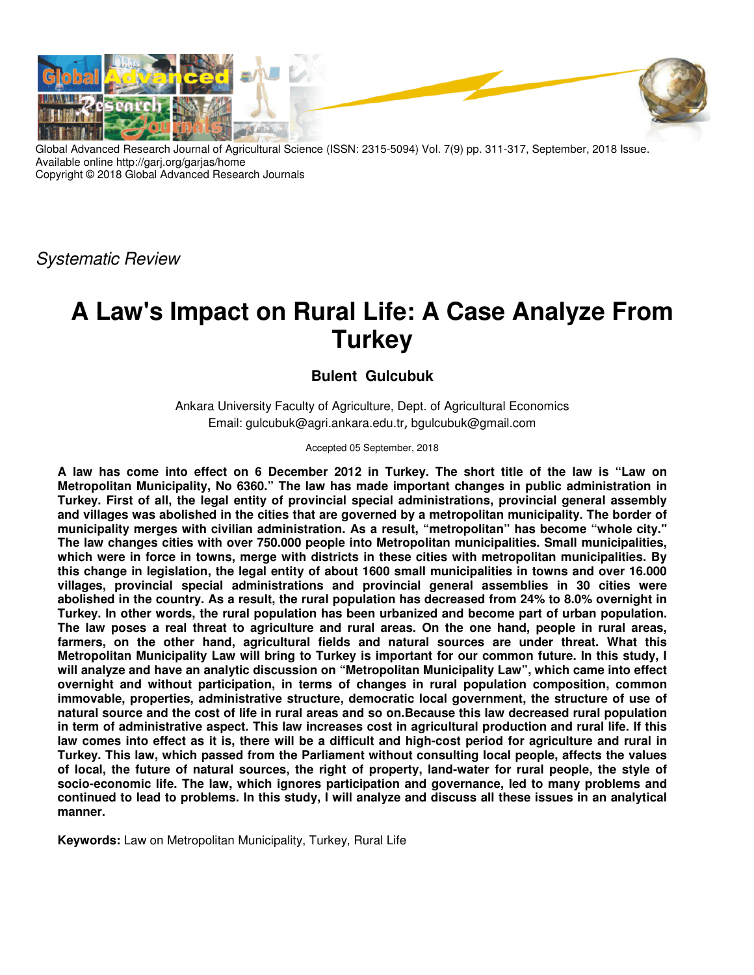

Global Advanced Research Journal of Agricultural Science (ISSN: 2315-5094) Vol. 7(9) pp. 311-317, September, 2018 Issue. Available online http://garj.org/garjas/home Copyright © 2018 Global Advanced Research Journals

Systematic Review

# **A Law's Impact on Rural Life: A Case Analyze From Turkey**

# **Bulent Gulcubuk**

Ankara University Faculty of Agriculture, Dept. of Agricultural Economics Email: gulcubuk@agri.ankara.edu.tr, bgulcubuk@gmail.com

Accepted 05 September, 2018

**A law has come into effect on 6 December 2012 in Turkey. The short title of the law is "Law on Metropolitan Municipality, No 6360." The law has made important changes in public administration in Turkey. First of all, the legal entity of provincial special administrations, provincial general assembly and villages was abolished in the cities that are governed by a metropolitan municipality. The border of municipality merges with civilian administration. As a result, "metropolitan" has become "whole city." The law changes cities with over 750.000 people into Metropolitan municipalities. Small municipalities, which were in force in towns, merge with districts in these cities with metropolitan municipalities. By this change in legislation, the legal entity of about 1600 small municipalities in towns and over 16.000 villages, provincial special administrations and provincial general assemblies in 30 cities were abolished in the country. As a result, the rural population has decreased from 24% to 8.0% overnight in Turkey. In other words, the rural population has been urbanized and become part of urban population. The law poses a real threat to agriculture and rural areas. On the one hand, people in rural areas, farmers, on the other hand, agricultural fields and natural sources are under threat. What this Metropolitan Municipality Law will bring to Turkey is important for our common future. In this study, I will analyze and have an analytic discussion on "Metropolitan Municipality Law", which came into effect overnight and without participation, in terms of changes in rural population composition, common immovable, properties, administrative structure, democratic local government, the structure of use of natural source and the cost of life in rural areas and so on.Because this law decreased rural population in term of administrative aspect. This law increases cost in agricultural production and rural life. If this law comes into effect as it is, there will be a difficult and high-cost period for agriculture and rural in Turkey. This law, which passed from the Parliament without consulting local people, affects the values of local, the future of natural sources, the right of property, land-water for rural people, the style of socio-economic life. The law, which ignores participation and governance, led to many problems and continued to lead to problems. In this study, I will analyze and discuss all these issues in an analytical manner.** 

**Keywords:** Law on Metropolitan Municipality, Turkey, Rural Life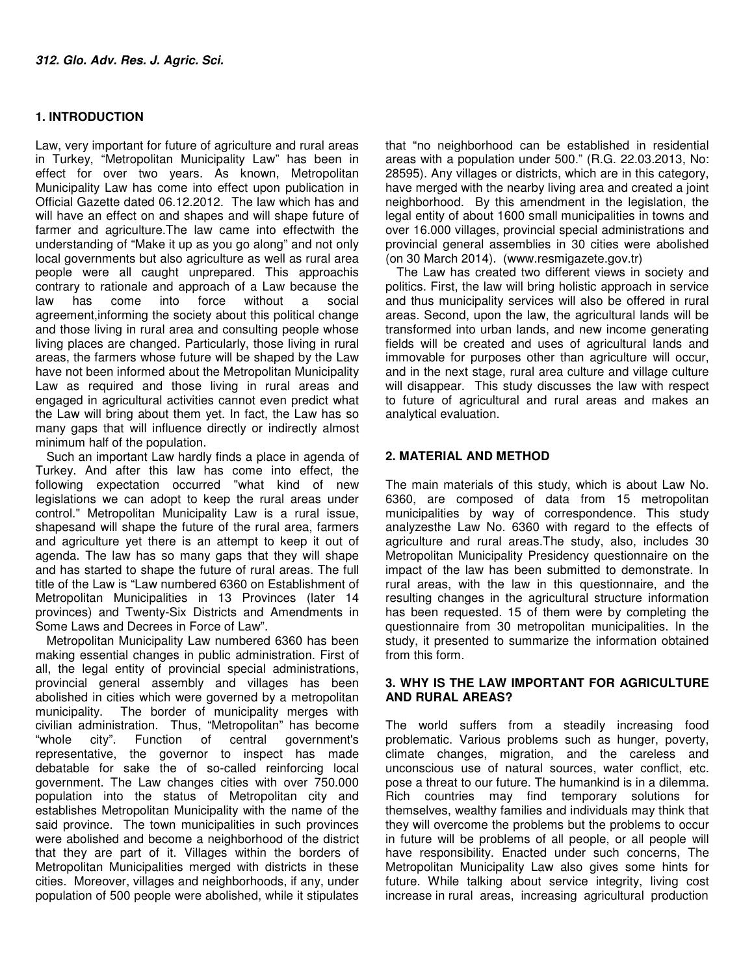# **1. INTRODUCTION**

Law, very important for future of agriculture and rural areas in Turkey, "Metropolitan Municipality Law" has been in effect for over two years. As known, Metropolitan Municipality Law has come into effect upon publication in Official Gazette dated 06.12.2012. The law which has and will have an effect on and shapes and will shape future of farmer and agriculture.The law came into effectwith the understanding of "Make it up as you go along" and not only local governments but also agriculture as well as rural area people were all caught unprepared. This approachis contrary to rationale and approach of a Law because the law has come into force without a social agreement,informing the society about this political change and those living in rural area and consulting people whose living places are changed. Particularly, those living in rural areas, the farmers whose future will be shaped by the Law have not been informed about the Metropolitan Municipality Law as required and those living in rural areas and engaged in agricultural activities cannot even predict what the Law will bring about them yet. In fact, the Law has so many gaps that will influence directly or indirectly almost minimum half of the population.

Such an important Law hardly finds a place in agenda of Turkey. And after this law has come into effect, the following expectation occurred "what kind of new legislations we can adopt to keep the rural areas under control." Metropolitan Municipality Law is a rural issue, shapesand will shape the future of the rural area, farmers and agriculture yet there is an attempt to keep it out of agenda. The law has so many gaps that they will shape and has started to shape the future of rural areas. The full title of the Law is "Law numbered 6360 on Establishment of Metropolitan Municipalities in 13 Provinces (later 14 provinces) and Twenty-Six Districts and Amendments in Some Laws and Decrees in Force of Law".

Metropolitan Municipality Law numbered 6360 has been making essential changes in public administration. First of all, the legal entity of provincial special administrations, provincial general assembly and villages has been abolished in cities which were governed by a metropolitan municipality. The border of municipality merges with civilian administration. Thus, "Metropolitan" has become "whole city". Function of central government's representative, the governor to inspect has made debatable for sake the of so-called reinforcing local government. The Law changes cities with over 750.000 population into the status of Metropolitan city and establishes Metropolitan Municipality with the name of the said province. The town municipalities in such provinces were abolished and become a neighborhood of the district that they are part of it. Villages within the borders of Metropolitan Municipalities merged with districts in these cities. Moreover, villages and neighborhoods, if any, under population of 500 people were abolished, while it stipulates

that "no neighborhood can be established in residential areas with a population under 500." (R.G. 22.03.2013, No: 28595). Any villages or districts, which are in this category, have merged with the nearby living area and created a joint neighborhood. By this amendment in the legislation, the legal entity of about 1600 small municipalities in towns and over 16.000 villages, provincial special administrations and provincial general assemblies in 30 cities were abolished (on 30 March 2014). (www.resmigazete.gov.tr)

The Law has created two different views in society and politics. First, the law will bring holistic approach in service and thus municipality services will also be offered in rural areas. Second, upon the law, the agricultural lands will be transformed into urban lands, and new income generating fields will be created and uses of agricultural lands and immovable for purposes other than agriculture will occur, and in the next stage, rural area culture and village culture will disappear. This study discusses the law with respect to future of agricultural and rural areas and makes an analytical evaluation.

# **2. MATERIAL AND METHOD**

The main materials of this study, which is about Law No. 6360, are composed of data from 15 metropolitan municipalities by way of correspondence. This study analyzesthe Law No. 6360 with regard to the effects of agriculture and rural areas.The study, also, includes 30 Metropolitan Municipality Presidency questionnaire on the impact of the law has been submitted to demonstrate. In rural areas, with the law in this questionnaire, and the resulting changes in the agricultural structure information has been requested. 15 of them were by completing the questionnaire from 30 metropolitan municipalities. In the study, it presented to summarize the information obtained from this form.

## **3. WHY IS THE LAW IMPORTANT FOR AGRICULTURE AND RURAL AREAS?**

The world suffers from a steadily increasing food problematic. Various problems such as hunger, poverty, climate changes, migration, and the careless and unconscious use of natural sources, water conflict, etc. pose a threat to our future. The humankind is in a dilemma. Rich countries may find temporary solutions for themselves, wealthy families and individuals may think that they will overcome the problems but the problems to occur in future will be problems of all people, or all people will have responsibility. Enacted under such concerns, The Metropolitan Municipality Law also gives some hints for future. While talking about service integrity, living cost increase in rural areas, increasing agricultural production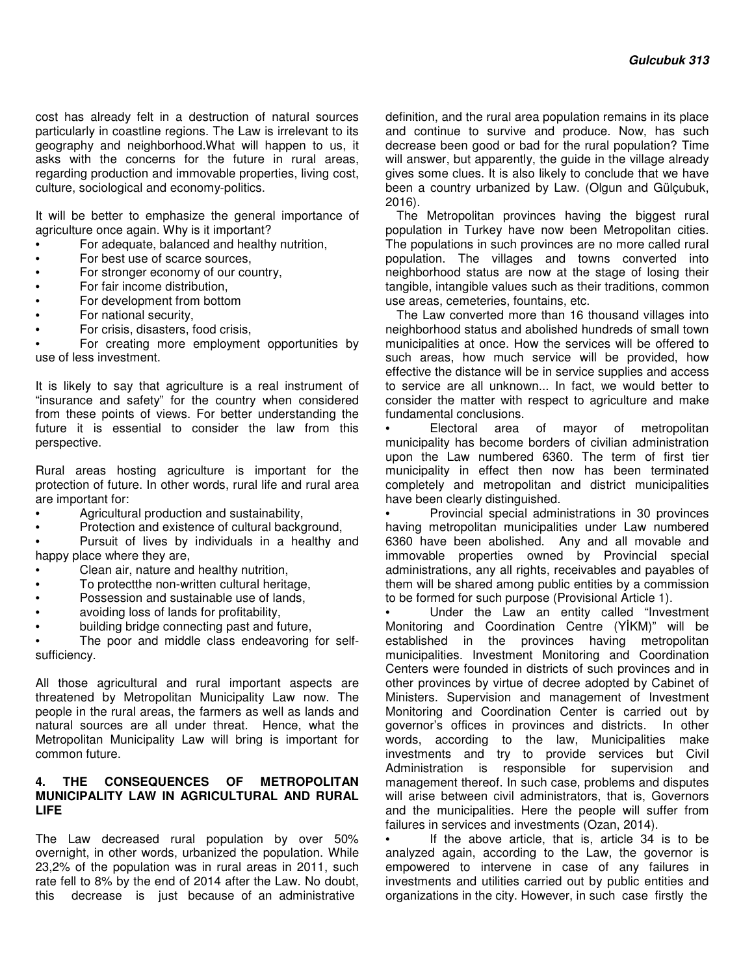cost has already felt in a destruction of natural sources particularly in coastline regions. The Law is irrelevant to its geography and neighborhood.What will happen to us, it asks with the concerns for the future in rural areas, regarding production and immovable properties, living cost, culture, sociological and economy-politics.

It will be better to emphasize the general importance of agriculture once again. Why is it important?

- For adequate, balanced and healthy nutrition,
- For best use of scarce sources,
- For stronger economy of our country.
- For fair income distribution,
- For development from bottom
- For national security,
- For crisis, disasters, food crisis,

• For creating more employment opportunities by use of less investment.

It is likely to say that agriculture is a real instrument of "insurance and safety" for the country when considered from these points of views. For better understanding the future it is essential to consider the law from this perspective.

Rural areas hosting agriculture is important for the protection of future. In other words, rural life and rural area are important for:

- Agricultural production and sustainability,
- Protection and existence of cultural background,

Pursuit of lives by individuals in a healthy and happy place where they are,

- Clean air, nature and healthy nutrition,
- To protectthe non-written cultural heritage,
- Possession and sustainable use of lands,
- avoiding loss of lands for profitability,
- building bridge connecting past and future,

The poor and middle class endeavoring for selfsufficiency.

All those agricultural and rural important aspects are threatened by Metropolitan Municipality Law now. The people in the rural areas, the farmers as well as lands and natural sources are all under threat. Hence, what the Metropolitan Municipality Law will bring is important for common future.

#### **4. THE CONSEQUENCES OF METROPOLITAN MUNICIPALITY LAW IN AGRICULTURAL AND RURAL LIFE**

The Law decreased rural population by over 50% overnight, in other words, urbanized the population. While 23,2% of the population was in rural areas in 2011, such rate fell to 8% by the end of 2014 after the Law. No doubt, this decrease is just because of an administrative

definition, and the rural area population remains in its place and continue to survive and produce. Now, has such decrease been good or bad for the rural population? Time will answer, but apparently, the quide in the village already gives some clues. It is also likely to conclude that we have been a country urbanized by Law. (Olgun and Gülçubuk, 2016).

The Metropolitan provinces having the biggest rural population in Turkey have now been Metropolitan cities. The populations in such provinces are no more called rural population. The villages and towns converted into neighborhood status are now at the stage of losing their tangible, intangible values such as their traditions, common use areas, cemeteries, fountains, etc.

The Law converted more than 16 thousand villages into neighborhood status and abolished hundreds of small town municipalities at once. How the services will be offered to such areas, how much service will be provided, how effective the distance will be in service supplies and access to service are all unknown... In fact, we would better to consider the matter with respect to agriculture and make fundamental conclusions.

• Electoral area of mayor of metropolitan municipality has become borders of civilian administration upon the Law numbered 6360. The term of first tier municipality in effect then now has been terminated completely and metropolitan and district municipalities have been clearly distinguished.

• Provincial special administrations in 30 provinces having metropolitan municipalities under Law numbered 6360 have been abolished. Any and all movable and immovable properties owned by Provincial special administrations, any all rights, receivables and payables of them will be shared among public entities by a commission to be formed for such purpose (Provisional Article 1).

Under the Law an entity called "Investment Monitoring and Coordination Centre (YİKM)" will be established in the provinces having metropolitan municipalities. Investment Monitoring and Coordination Centers were founded in districts of such provinces and in other provinces by virtue of decree adopted by Cabinet of Ministers. Supervision and management of Investment Monitoring and Coordination Center is carried out by governor's offices in provinces and districts. In other words, according to the law, Municipalities make investments and try to provide services but Civil Administration is responsible for supervision and management thereof. In such case, problems and disputes will arise between civil administrators, that is, Governors and the municipalities. Here the people will suffer from failures in services and investments (Ozan, 2014).

If the above article, that is, article 34 is to be analyzed again, according to the Law, the governor is empowered to intervene in case of any failures in investments and utilities carried out by public entities and organizations in the city. However, in such case firstly the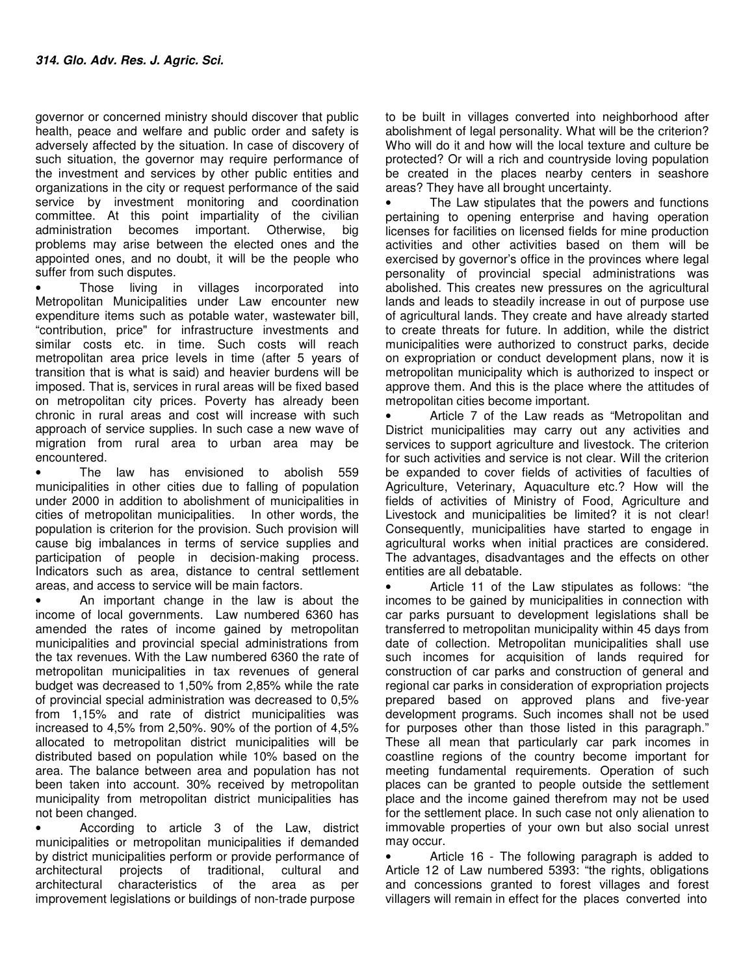governor or concerned ministry should discover that public health, peace and welfare and public order and safety is adversely affected by the situation. In case of discovery of such situation, the governor may require performance of the investment and services by other public entities and organizations in the city or request performance of the said service by investment monitoring and coordination committee. At this point impartiality of the civilian administration becomes important. Otherwise, big problems may arise between the elected ones and the appointed ones, and no doubt, it will be the people who suffer from such disputes.

• Those living in villages incorporated into Metropolitan Municipalities under Law encounter new expenditure items such as potable water, wastewater bill, "contribution, price" for infrastructure investments and similar costs etc. in time. Such costs will reach metropolitan area price levels in time (after 5 years of transition that is what is said) and heavier burdens will be imposed. That is, services in rural areas will be fixed based on metropolitan city prices. Poverty has already been chronic in rural areas and cost will increase with such approach of service supplies. In such case a new wave of migration from rural area to urban area may be encountered.

• The law has envisioned to abolish 559 municipalities in other cities due to falling of population under 2000 in addition to abolishment of municipalities in cities of metropolitan municipalities. In other words, the population is criterion for the provision. Such provision will cause big imbalances in terms of service supplies and participation of people in decision-making process. Indicators such as area, distance to central settlement areas, and access to service will be main factors.

• An important change in the law is about the income of local governments. Law numbered 6360 has amended the rates of income gained by metropolitan municipalities and provincial special administrations from the tax revenues. With the Law numbered 6360 the rate of metropolitan municipalities in tax revenues of general budget was decreased to 1,50% from 2,85% while the rate of provincial special administration was decreased to 0,5% from 1,15% and rate of district municipalities was increased to 4,5% from 2,50%. 90% of the portion of 4,5% allocated to metropolitan district municipalities will be distributed based on population while 10% based on the area. The balance between area and population has not been taken into account. 30% received by metropolitan municipality from metropolitan district municipalities has not been changed.

• According to article 3 of the Law, district municipalities or metropolitan municipalities if demanded by district municipalities perform or provide performance of architectural projects of traditional, cultural and architectural characteristics of the area as per improvement legislations or buildings of non-trade purpose

to be built in villages converted into neighborhood after abolishment of legal personality. What will be the criterion? Who will do it and how will the local texture and culture be protected? Or will a rich and countryside loving population be created in the places nearby centers in seashore areas? They have all brought uncertainty.

• The Law stipulates that the powers and functions pertaining to opening enterprise and having operation licenses for facilities on licensed fields for mine production activities and other activities based on them will be exercised by governor's office in the provinces where legal personality of provincial special administrations was abolished. This creates new pressures on the agricultural lands and leads to steadily increase in out of purpose use of agricultural lands. They create and have already started to create threats for future. In addition, while the district municipalities were authorized to construct parks, decide on expropriation or conduct development plans, now it is metropolitan municipality which is authorized to inspect or approve them. And this is the place where the attitudes of metropolitan cities become important.

• Article 7 of the Law reads as "Metropolitan and District municipalities may carry out any activities and services to support agriculture and livestock. The criterion for such activities and service is not clear. Will the criterion be expanded to cover fields of activities of faculties of Agriculture, Veterinary, Aquaculture etc.? How will the fields of activities of Ministry of Food, Agriculture and Livestock and municipalities be limited? it is not clear! Consequently, municipalities have started to engage in agricultural works when initial practices are considered. The advantages, disadvantages and the effects on other entities are all debatable.

• Article 11 of the Law stipulates as follows: "the incomes to be gained by municipalities in connection with car parks pursuant to development legislations shall be transferred to metropolitan municipality within 45 days from date of collection. Metropolitan municipalities shall use such incomes for acquisition of lands required for construction of car parks and construction of general and regional car parks in consideration of expropriation projects prepared based on approved plans and five-year development programs. Such incomes shall not be used for purposes other than those listed in this paragraph." These all mean that particularly car park incomes in coastline regions of the country become important for meeting fundamental requirements. Operation of such places can be granted to people outside the settlement place and the income gained therefrom may not be used for the settlement place. In such case not only alienation to immovable properties of your own but also social unrest may occur.

• Article 16 - The following paragraph is added to Article 12 of Law numbered 5393: "the rights, obligations and concessions granted to forest villages and forest villagers will remain in effect for the places converted into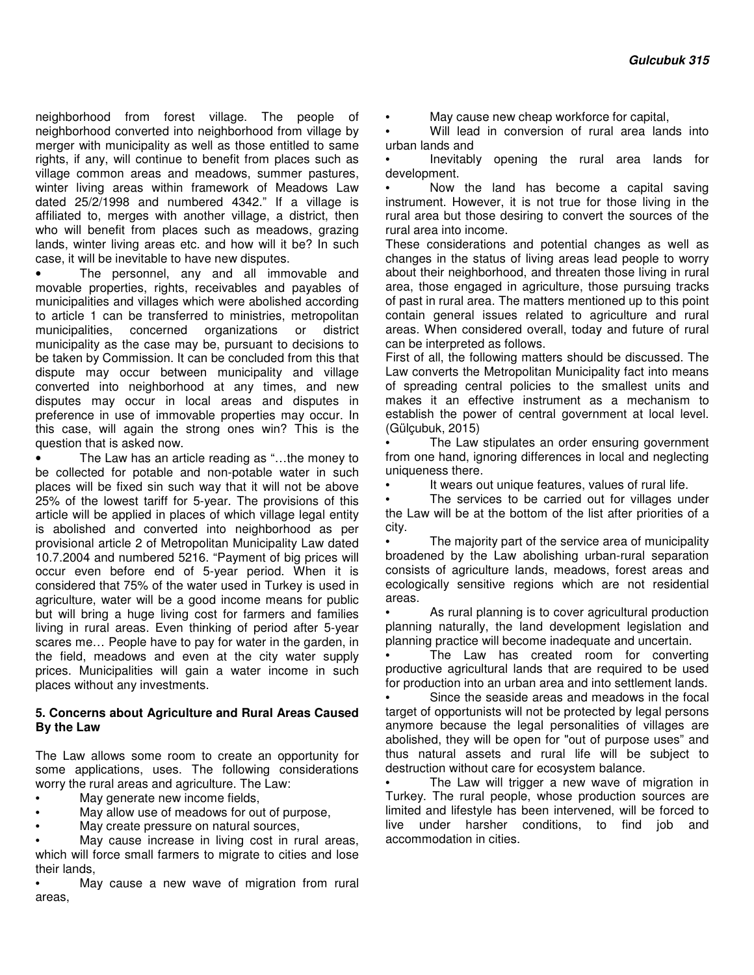neighborhood from forest village. The people of neighborhood converted into neighborhood from village by merger with municipality as well as those entitled to same rights, if any, will continue to benefit from places such as village common areas and meadows, summer pastures, winter living areas within framework of Meadows Law dated 25/2/1998 and numbered 4342." If a village is affiliated to, merges with another village, a district, then who will benefit from places such as meadows, grazing lands, winter living areas etc. and how will it be? In such case, it will be inevitable to have new disputes.

• The personnel, any and all immovable and movable properties, rights, receivables and payables of municipalities and villages which were abolished according to article 1 can be transferred to ministries, metropolitan municipalities, concerned organizations or district municipality as the case may be, pursuant to decisions to be taken by Commission. It can be concluded from this that dispute may occur between municipality and village converted into neighborhood at any times, and new disputes may occur in local areas and disputes in preference in use of immovable properties may occur. In this case, will again the strong ones win? This is the question that is asked now.

• The Law has an article reading as "...the money to be collected for potable and non-potable water in such places will be fixed sin such way that it will not be above 25% of the lowest tariff for 5-year. The provisions of this article will be applied in places of which village legal entity is abolished and converted into neighborhood as per provisional article 2 of Metropolitan Municipality Law dated 10.7.2004 and numbered 5216. "Payment of big prices will occur even before end of 5-year period. When it is considered that 75% of the water used in Turkey is used in agriculture, water will be a good income means for public but will bring a huge living cost for farmers and families living in rural areas. Even thinking of period after 5-year scares me… People have to pay for water in the garden, in the field, meadows and even at the city water supply prices. Municipalities will gain a water income in such places without any investments.

#### **5. Concerns about Agriculture and Rural Areas Caused By the Law**

The Law allows some room to create an opportunity for some applications, uses. The following considerations worry the rural areas and agriculture. The Law:

- May generate new income fields,
- May allow use of meadows for out of purpose,
- May create pressure on natural sources,

May cause increase in living cost in rural areas, which will force small farmers to migrate to cities and lose their lands,

May cause a new wave of migration from rural areas,

• May cause new cheap workforce for capital,

Will lead in conversion of rural area lands into urban lands and

• Inevitably opening the rural area lands for development.

• Now the land has become a capital saving instrument. However, it is not true for those living in the rural area but those desiring to convert the sources of the rural area into income.

These considerations and potential changes as well as changes in the status of living areas lead people to worry about their neighborhood, and threaten those living in rural area, those engaged in agriculture, those pursuing tracks of past in rural area. The matters mentioned up to this point contain general issues related to agriculture and rural areas. When considered overall, today and future of rural can be interpreted as follows.

First of all, the following matters should be discussed. The Law converts the Metropolitan Municipality fact into means of spreading central policies to the smallest units and makes it an effective instrument as a mechanism to establish the power of central government at local level. (Gülçubuk, 2015)

The Law stipulates an order ensuring government from one hand, ignoring differences in local and neglecting uniqueness there.

It wears out unique features, values of rural life.

The services to be carried out for villages under the Law will be at the bottom of the list after priorities of a city.

The majority part of the service area of municipality broadened by the Law abolishing urban-rural separation consists of agriculture lands, meadows, forest areas and ecologically sensitive regions which are not residential areas.

As rural planning is to cover agricultural production planning naturally, the land development legislation and planning practice will become inadequate and uncertain.

The Law has created room for converting productive agricultural lands that are required to be used for production into an urban area and into settlement lands.

Since the seaside areas and meadows in the focal target of opportunists will not be protected by legal persons anymore because the legal personalities of villages are abolished, they will be open for "out of purpose uses" and thus natural assets and rural life will be subject to destruction without care for ecosystem balance.

The Law will trigger a new wave of migration in Turkey. The rural people, whose production sources are limited and lifestyle has been intervened, will be forced to live under harsher conditions, to find job and accommodation in cities.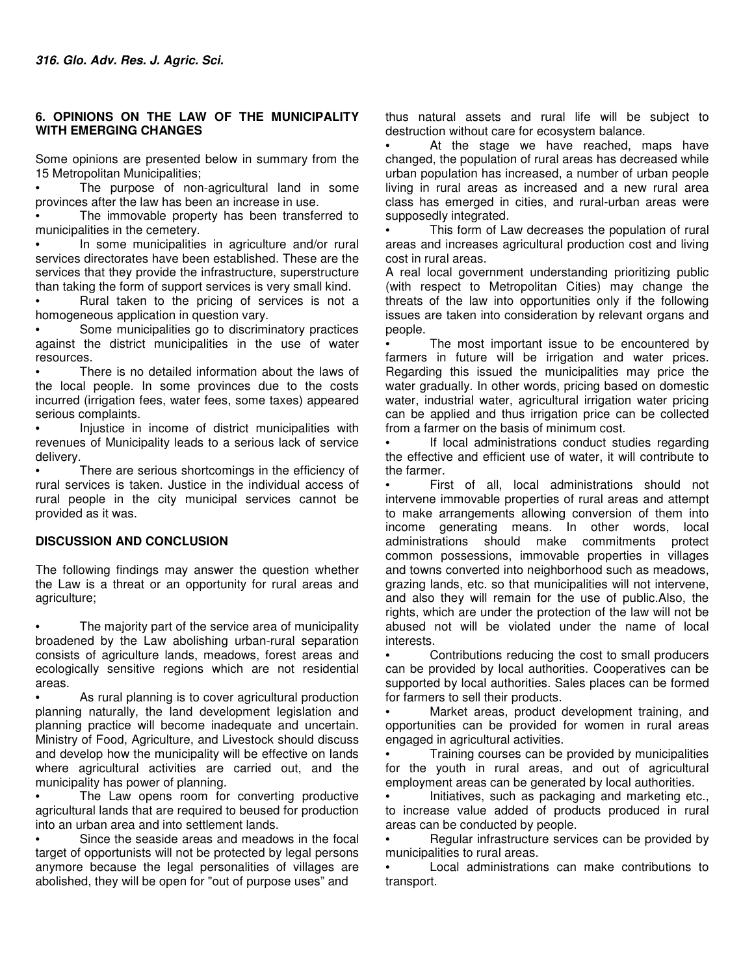# **6. OPINIONS ON THE LAW OF THE MUNICIPALITY WITH EMERGING CHANGES**

Some opinions are presented below in summary from the 15 Metropolitan Municipalities;

The purpose of non-agricultural land in some provinces after the law has been an increase in use.

The immovable property has been transferred to municipalities in the cemetery.

In some municipalities in agriculture and/or rural services directorates have been established. These are the services that they provide the infrastructure, superstructure than taking the form of support services is very small kind.

• Rural taken to the pricing of services is not a homogeneous application in question vary.

Some municipalities go to discriminatory practices against the district municipalities in the use of water resources.

There is no detailed information about the laws of the local people. In some provinces due to the costs incurred (irrigation fees, water fees, some taxes) appeared serious complaints.

• Injustice in income of district municipalities with revenues of Municipality leads to a serious lack of service delivery.

There are serious shortcomings in the efficiency of rural services is taken. Justice in the individual access of rural people in the city municipal services cannot be provided as it was.

## **DISCUSSION AND CONCLUSION**

The following findings may answer the question whether the Law is a threat or an opportunity for rural areas and agriculture;

The majority part of the service area of municipality broadened by the Law abolishing urban-rural separation consists of agriculture lands, meadows, forest areas and ecologically sensitive regions which are not residential areas.

As rural planning is to cover agricultural production planning naturally, the land development legislation and planning practice will become inadequate and uncertain. Ministry of Food, Agriculture, and Livestock should discuss and develop how the municipality will be effective on lands where agricultural activities are carried out, and the municipality has power of planning.

The Law opens room for converting productive agricultural lands that are required to beused for production into an urban area and into settlement lands.

Since the seaside areas and meadows in the focal target of opportunists will not be protected by legal persons anymore because the legal personalities of villages are abolished, they will be open for "out of purpose uses" and

thus natural assets and rural life will be subject to destruction without care for ecosystem balance.

At the stage we have reached, maps have changed, the population of rural areas has decreased while urban population has increased, a number of urban people living in rural areas as increased and a new rural area class has emerged in cities, and rural-urban areas were supposedly integrated.

This form of Law decreases the population of rural areas and increases agricultural production cost and living cost in rural areas.

A real local government understanding prioritizing public (with respect to Metropolitan Cities) may change the threats of the law into opportunities only if the following issues are taken into consideration by relevant organs and people.

The most important issue to be encountered by farmers in future will be irrigation and water prices. Regarding this issued the municipalities may price the water gradually. In other words, pricing based on domestic water, industrial water, agricultural irrigation water pricing can be applied and thus irrigation price can be collected from a farmer on the basis of minimum cost.

If local administrations conduct studies regarding the effective and efficient use of water, it will contribute to the farmer.

First of all, local administrations should not intervene immovable properties of rural areas and attempt to make arrangements allowing conversion of them into income generating means. In other words, local administrations should make commitments protect common possessions, immovable properties in villages and towns converted into neighborhood such as meadows, grazing lands, etc. so that municipalities will not intervene, and also they will remain for the use of public.Also, the rights, which are under the protection of the law will not be abused not will be violated under the name of local interests.

• Contributions reducing the cost to small producers can be provided by local authorities. Cooperatives can be supported by local authorities. Sales places can be formed for farmers to sell their products.

Market areas, product development training, and opportunities can be provided for women in rural areas engaged in agricultural activities.

• Training courses can be provided by municipalities for the youth in rural areas, and out of agricultural employment areas can be generated by local authorities.

• Initiatives, such as packaging and marketing etc., to increase value added of products produced in rural areas can be conducted by people.

Regular infrastructure services can be provided by municipalities to rural areas.

Local administrations can make contributions to transport.